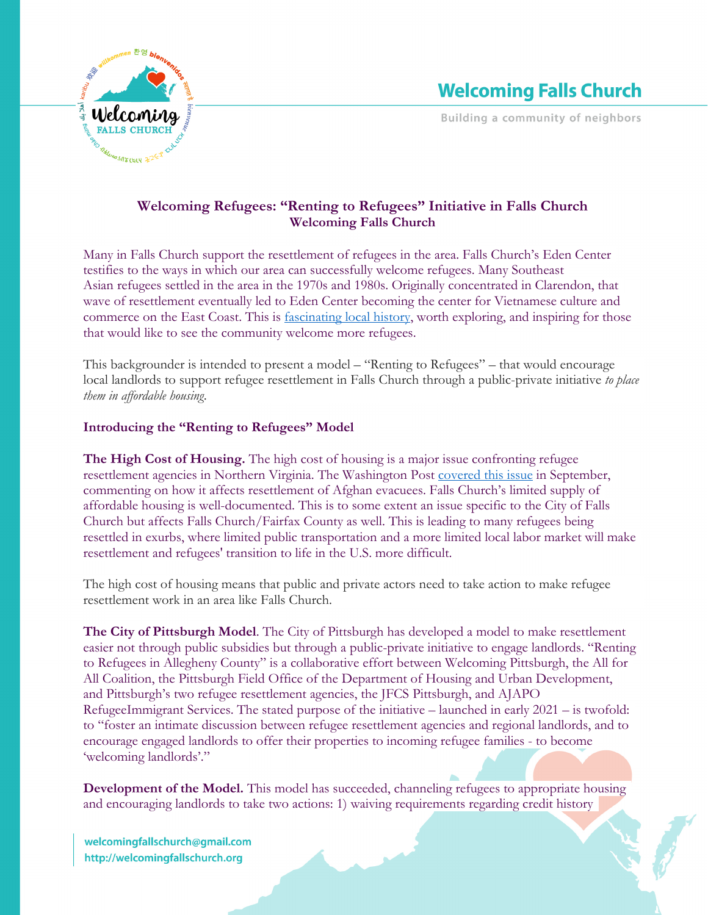

**Building a community of neighbors** 

## **Welcoming Refugees: "Renting to Refugees" Initiative in Falls Church Welcoming Falls Church**

Many in Falls Church support the resettlement of refugees in the area. Falls Church's Eden Center testifies to the ways in which our area can successfully welcome refugees. Many Southeast Asian refugees settled in the area in the 1970s and 1980s. Originally concentrated in Clarendon, that wave of resettlement eventually led to Eden Center becoming the center for Vietnamese culture and commerce on the East Coast. This is fascinating local history, worth exploring, and inspiring for those that would like to see the community welcome more refugees.

This backgrounder is intended to present a model – "Renting to Refugees" – that would encourage local landlords to support refugee resettlement in Falls Church through a public-private initiative *to place them in affordable housing*.

## **Introducing the "Renting to Refugees" Model**

**The High Cost of Housing.** The high cost of housing is a major issue confronting refugee resettlement agencies in Northern Virginia. The Washington Post covered this issue in September, commenting on how it affects resettlement of Afghan evacuees. Falls Church's limited supply of affordable housing is well-documented. This is to some extent an issue specific to the City of Falls Church but affects Falls Church/Fairfax County as well. This is leading to many refugees being resettled in exurbs, where limited public transportation and a more limited local labor market will make resettlement and refugees' transition to life in the U.S. more difficult.

The high cost of housing means that public and private actors need to take action to make refugee resettlement work in an area like Falls Church.

**The City of Pittsburgh Model**. The City of Pittsburgh has developed a model to make resettlement easier not through public subsidies but through a public-private initiative to engage landlords. "Renting to Refugees in Allegheny County" is a collaborative effort between Welcoming Pittsburgh, the All for All Coalition, the Pittsburgh Field Office of the Department of Housing and Urban Development, and Pittsburgh's two refugee resettlement agencies, the JFCS Pittsburgh, and AJAPO RefugeeImmigrant Services. The stated purpose of the initiative – launched in early 2021 – is twofold: to "foster an intimate discussion between refugee resettlement agencies and regional landlords, and to encourage engaged landlords to offer their properties to incoming refugee families - to become 'welcoming landlords'."

**Development of the Model.** This model has succeeded, channeling refugees to appropriate housing and encouraging landlords to take two actions: 1) waiving requirements regarding credit history

welcomingfallschurch@gmail.com http://welcomingfallschurch.org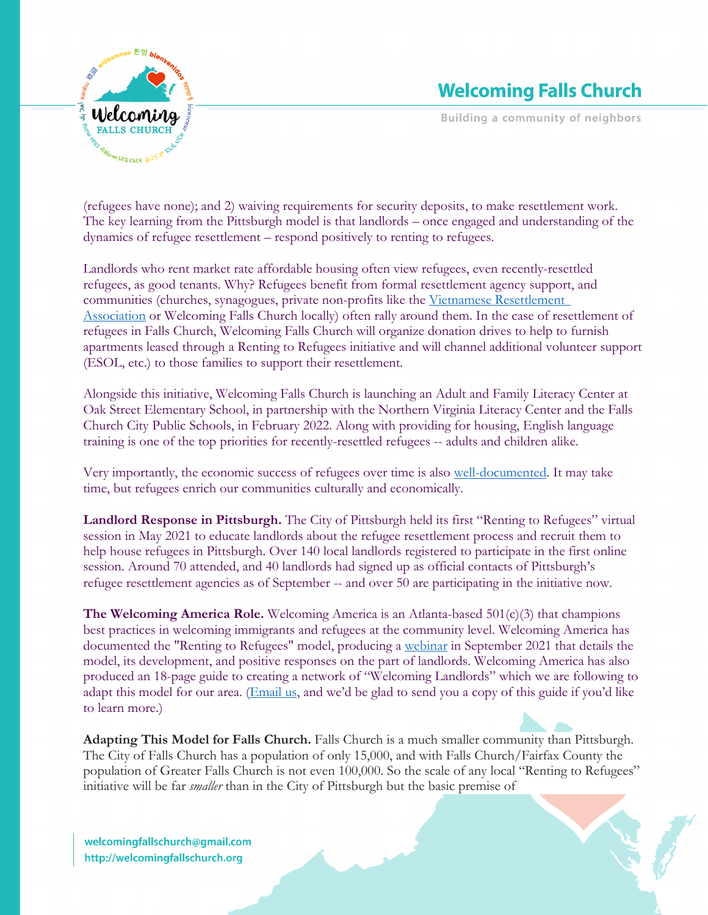

## **Welcoming Falls Church**

**Building a community of neighbors** 

(refugees have none); and 2) waiving requirements for security deposits, to make resettlement work. The key learning from the Pittsburgh model is that landlords – once engaged and understanding of the dynamics of refugee resettlement – respond positively to renting to refugees.

Landlords who rent market rate affordable housing often view refugees, even recently-resettled refugees, as good tenants. Why? Refugees benefit from formal resettlement agency support, and communities (churches, synagogues, private non-profits like the Vietnamese Resettlement Association or Welcoming Falls Church locally) often rally around them. In the case of resettlement of refugees in Falls Church, Welcoming Falls Church will organize donation drives to help to furnish apartments leased through a Renting to Refugees initiative and will channel additional volunteer support (ESOL, etc.) to those families to support their resettlement.

Alongside this initiative, Welcoming Falls Church is launching an Adult and Family Literacy Center at Oak Street Elementary School, in partnership with the Northern Virginia Literacy Center and the Falls Church City Public Schools, in February 2022. Along with providing for housing, English language training is one of the top priorities for recently-resettled refugees -- adults and children alike.

Very importantly, the economic success of refugees over time is also well-documented. It may take time, but refugees enrich our communities culturally and economically.

**Landlord Response in Pittsburgh.** The City of Pittsburgh held its first "Renting to Refugees" virtual session in May 2021 to educate landlords about the refugee resettlement process and recruit them to help house refugees in Pittsburgh. Over 140 local landlords registered to participate in the first online session. Around 70 attended, and 40 landlords had signed up as official contacts of Pittsburgh's refugee resettlement agencies as of September -- and over 50 are participating in the initiative now.

**The Welcoming America Role.** Welcoming America is an Atlanta-based 501(c)(3) that champions best practices in welcoming immigrants and refugees at the community level. Welcoming America has documented the "Renting to Refugees" model, producing a webinar in September 2021 that details the model, its development, and positive responses on the part of landlords. Welcoming America has also produced an 18-page guide to creating a network of "Welcoming Landlords" which we are following to adapt this model for our area. (*Email us*, and we'd be glad to send you a copy of this guide if you'd like to learn more.)

**Adapting This Model for Falls Church.** Falls Church is a much smaller community than Pittsburgh. The City of Falls Church has a population of only 15,000, and with Falls Church/Fairfax County the population of Greater Falls Church is not even 100,000. So the scale of any local "Renting to Refugees" initiative will be far *smaller* than in the City of Pittsburgh but the basic premise of

welcomingfallschurch@gmail.com http://welcomingfallschurch.org